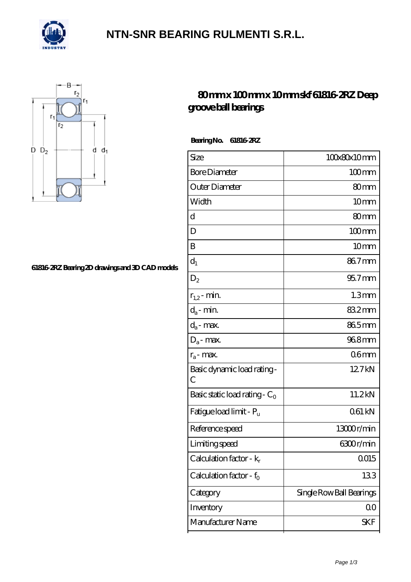

### **[NTN-SNR BEARING RULMENTI S.R.L.](https://m.confidencemenimprov.com)**



#### **[61816-2RZ Bearing 2D drawings and 3D CAD models](https://m.confidencemenimprov.com/pic-64974266.html)**

### **[80 mm x 100 mm x 10 mm skf 61816-2RZ Deep](https://m.confidencemenimprov.com/bs-64974266-skf-61816-2rz-deep-groove-ball-bearings.html) [groove ball bearings](https://m.confidencemenimprov.com/bs-64974266-skf-61816-2rz-deep-groove-ball-bearings.html)**

 **Bearing No. 61816-2RZ**

| Size                                | 100x80x10mm              |
|-------------------------------------|--------------------------|
| <b>Bore Diameter</b>                | $100 \text{mm}$          |
| Outer Diameter                      | 80mm                     |
| Width                               | 10mm                     |
| d                                   | 80mm                     |
| D                                   | $100$ <sub>mm</sub>      |
| B                                   | 10mm                     |
| $d_1$                               | 867mm                    |
| $\mathrm{D}_2$                      | $957$ mm                 |
| $r_{1,2}$ - min.                    | 1.3 <sub>mm</sub>        |
| $d_a$ - min.                        | 832mm                    |
| $d_a$ - max.                        | 865mm                    |
| $D_a$ - max.                        | 968mm                    |
| $r_a$ - max.                        | 06 <sub>mm</sub>         |
| Basic dynamic load rating -<br>C    | 12.7kN                   |
| Basic static load rating - $C_0$    | 11.2kN                   |
| Fatigue load limit - P <sub>u</sub> | 061 kN                   |
| Reference speed                     | 13000r/min               |
| Limiting speed                      | 6300r/min                |
| Calculation factor - $k_r$          | $0015$                   |
| Calculation factor - $f_0$          | 133                      |
| Category                            | Single Row Ball Bearings |
| Inventory                           | QO                       |
| Manufacturer Name                   | SKF                      |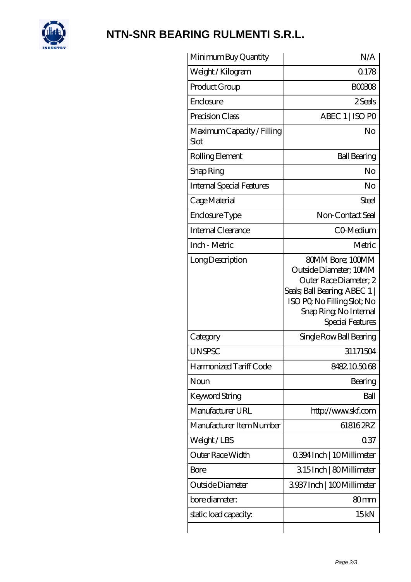

# **[NTN-SNR BEARING RULMENTI S.R.L.](https://m.confidencemenimprov.com)**

| Minimum Buy Quantity               | N/A                                                                                                                                                                                       |
|------------------------------------|-------------------------------------------------------------------------------------------------------------------------------------------------------------------------------------------|
| Weight/Kilogram                    | 0.178                                                                                                                                                                                     |
| Product Group                      | <b>BOO308</b>                                                                                                                                                                             |
| Enclosure                          | 2 Seals                                                                                                                                                                                   |
| Precision Class                    | ABEC 1   ISO PO                                                                                                                                                                           |
| Maximum Capacity / Filling<br>Slot | No                                                                                                                                                                                        |
| Rolling Element                    | <b>Ball Bearing</b>                                                                                                                                                                       |
| Snap Ring                          | No                                                                                                                                                                                        |
| <b>Internal Special Features</b>   | No                                                                                                                                                                                        |
| Cage Material                      | <b>Steel</b>                                                                                                                                                                              |
| Enclosure Type                     | Non-Contact Seal                                                                                                                                                                          |
| Internal Clearance                 | CO-Medium                                                                                                                                                                                 |
| Inch - Metric                      | Metric                                                                                                                                                                                    |
| Long Description                   | 80MM Bore; 100MM<br>Outside Diameter; 10MM<br>Outer Race Diameter; 2<br>Seals; Ball Bearing; ABEC 1  <br>ISO PO, No Filling Slot; No<br>Snap Ring, No Internal<br><b>Special Features</b> |
| Category                           | Single Row Ball Bearing                                                                                                                                                                   |
| <b>UNSPSC</b>                      | 31171504                                                                                                                                                                                  |
| Harmonized Tariff Code             | 8482105068                                                                                                                                                                                |
| Noun                               | Bearing                                                                                                                                                                                   |
| Keyword String                     | Ball                                                                                                                                                                                      |
| Manufacturer URL                   | http://www.skf.com                                                                                                                                                                        |
| Manufacturer Item Number           | 618162RZ                                                                                                                                                                                  |
| Weight/LBS                         | 037                                                                                                                                                                                       |
| Outer Race Width                   | 0.394 Inch   10 Millimeter                                                                                                                                                                |
| Bore                               | 315Inch   80Millimeter                                                                                                                                                                    |
| Outside Diameter                   | 3937 Inch   100 Millimeter                                                                                                                                                                |
| bore diameter:                     | 80 <sub>mm</sub>                                                                                                                                                                          |
| static load capacity.              | 15kN                                                                                                                                                                                      |
|                                    |                                                                                                                                                                                           |